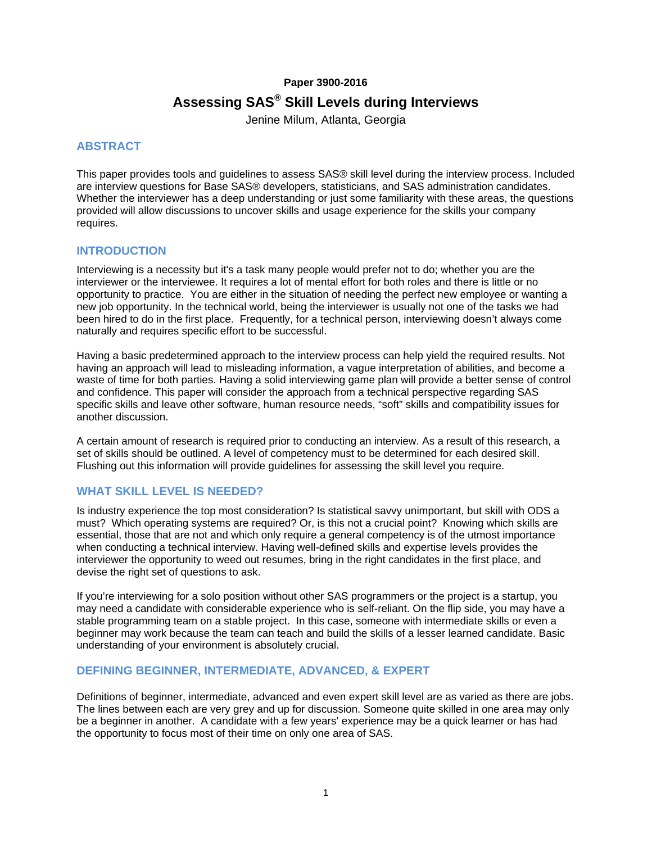## **Paper 3900-2016**

# **Assessing SAS® Skill Levels during Interviews**

Jenine Milum, Atlanta, Georgia

## **ABSTRACT**

This paper provides tools and guidelines to assess SAS® skill level during the interview process. Included are interview questions for Base SAS® developers, statisticians, and SAS administration candidates. Whether the interviewer has a deep understanding or just some familiarity with these areas, the questions provided will allow discussions to uncover skills and usage experience for the skills your company requires.

#### **INTRODUCTION**

Interviewing is a necessity but it's a task many people would prefer not to do; whether you are the interviewer or the interviewee. It requires a lot of mental effort for both roles and there is little or no opportunity to practice. You are either in the situation of needing the perfect new employee or wanting a new job opportunity. In the technical world, being the interviewer is usually not one of the tasks we had been hired to do in the first place. Frequently, for a technical person, interviewing doesn't always come naturally and requires specific effort to be successful.

Having a basic predetermined approach to the interview process can help yield the required results. Not having an approach will lead to misleading information, a vague interpretation of abilities, and become a waste of time for both parties. Having a solid interviewing game plan will provide a better sense of control and confidence. This paper will consider the approach from a technical perspective regarding SAS specific skills and leave other software, human resource needs, "soft" skills and compatibility issues for another discussion.

A certain amount of research is required prior to conducting an interview. As a result of this research, a set of skills should be outlined. A level of competency must to be determined for each desired skill. Flushing out this information will provide guidelines for assessing the skill level you require.

# **WHAT SKILL LEVEL IS NEEDED?**

Is industry experience the top most consideration? Is statistical savvy unimportant, but skill with ODS a must? Which operating systems are required? Or, is this not a crucial point? Knowing which skills are essential, those that are not and which only require a general competency is of the utmost importance when conducting a technical interview. Having well-defined skills and expertise levels provides the interviewer the opportunity to weed out resumes, bring in the right candidates in the first place, and devise the right set of questions to ask.

If you're interviewing for a solo position without other SAS programmers or the project is a startup, you may need a candidate with considerable experience who is self-reliant. On the flip side, you may have a stable programming team on a stable project. In this case, someone with intermediate skills or even a beginner may work because the team can teach and build the skills of a lesser learned candidate. Basic understanding of your environment is absolutely crucial.

#### **DEFINING BEGINNER, INTERMEDIATE, ADVANCED, & EXPERT**

Definitions of beginner, intermediate, advanced and even expert skill level are as varied as there are jobs. The lines between each are very grey and up for discussion. Someone quite skilled in one area may only be a beginner in another. A candidate with a few years' experience may be a quick learner or has had the opportunity to focus most of their time on only one area of SAS.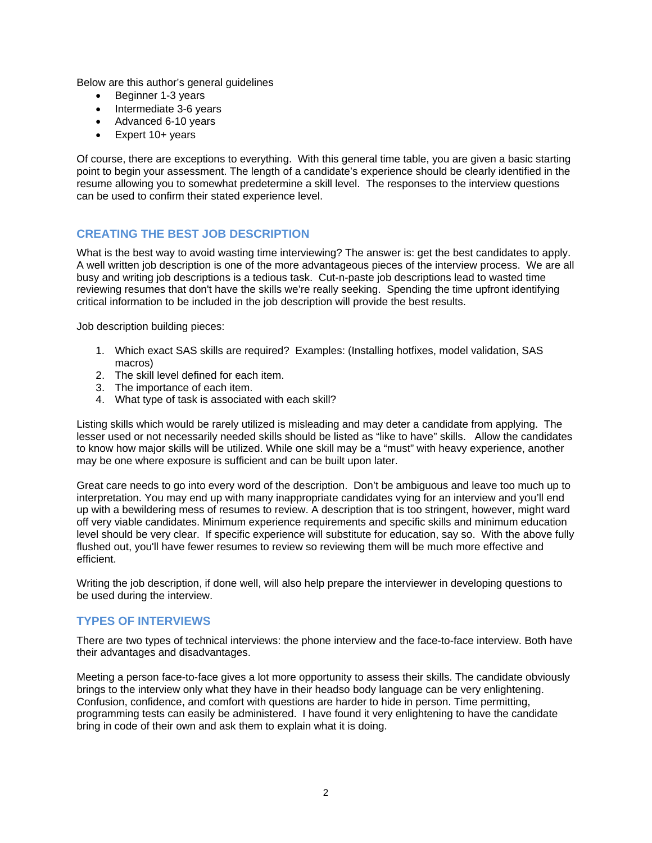Below are this author's general guidelines

- Beginner 1-3 years
- Intermediate 3-6 years
- Advanced 6-10 years
- Expert 10+ years

Of course, there are exceptions to everything. With this general time table, you are given a basic starting point to begin your assessment. The length of a candidate's experience should be clearly identified in the resume allowing you to somewhat predetermine a skill level. The responses to the interview questions can be used to confirm their stated experience level.

# **CREATING THE BEST JOB DESCRIPTION**

What is the best way to avoid wasting time interviewing? The answer is: get the best candidates to apply. A well written job description is one of the more advantageous pieces of the interview process. We are all busy and writing job descriptions is a tedious task. Cut-n-paste job descriptions lead to wasted time reviewing resumes that don't have the skills we're really seeking. Spending the time upfront identifying critical information to be included in the job description will provide the best results.

Job description building pieces:

- 1. Which exact SAS skills are required? Examples: (Installing hotfixes, model validation, SAS macros)
- 2. The skill level defined for each item.
- 3. The importance of each item.
- 4. What type of task is associated with each skill?

Listing skills which would be rarely utilized is misleading and may deter a candidate from applying. The lesser used or not necessarily needed skills should be listed as "like to have" skills. Allow the candidates to know how major skills will be utilized. While one skill may be a "must" with heavy experience, another may be one where exposure is sufficient and can be built upon later.

Great care needs to go into every word of the description. Don't be ambiguous and leave too much up to interpretation. You may end up with many inappropriate candidates vying for an interview and you'll end up with a bewildering mess of resumes to review. A description that is too stringent, however, might ward off very viable candidates. Minimum experience requirements and specific skills and minimum education level should be very clear. If specific experience will substitute for education, say so. With the above fully flushed out, you'll have fewer resumes to review so reviewing them will be much more effective and efficient.

Writing the job description, if done well, will also help prepare the interviewer in developing questions to be used during the interview.

#### **TYPES OF INTERVIEWS**

There are two types of technical interviews: the phone interview and the face-to-face interview. Both have their advantages and disadvantages.

Meeting a person face-to-face gives a lot more opportunity to assess their skills. The candidate obviously brings to the interview only what they have in their headso body language can be very enlightening. Confusion, confidence, and comfort with questions are harder to hide in person. Time permitting, programming tests can easily be administered. I have found it very enlightening to have the candidate bring in code of their own and ask them to explain what it is doing.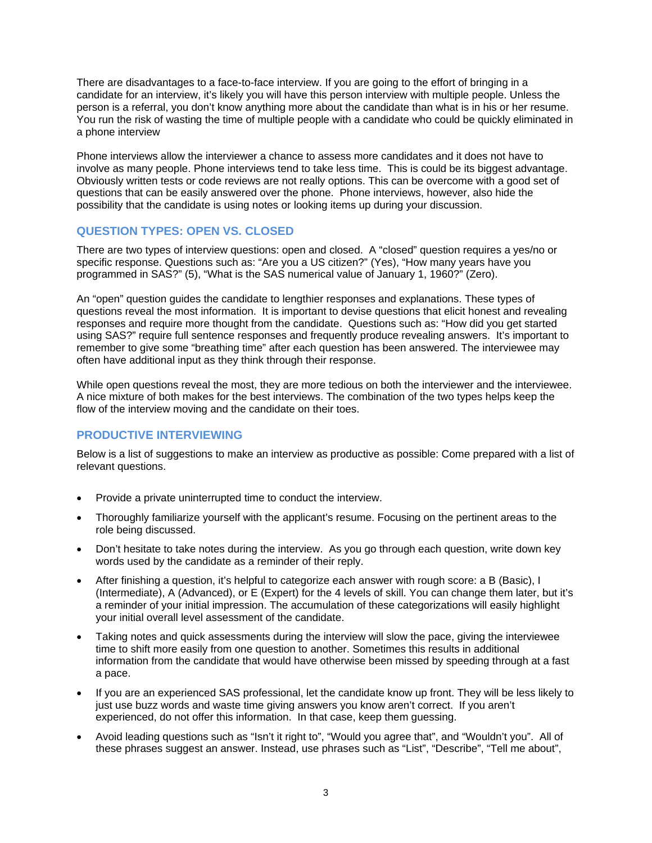There are disadvantages to a face-to-face interview. If you are going to the effort of bringing in a candidate for an interview, it's likely you will have this person interview with multiple people. Unless the person is a referral, you don't know anything more about the candidate than what is in his or her resume. You run the risk of wasting the time of multiple people with a candidate who could be quickly eliminated in a phone interview

Phone interviews allow the interviewer a chance to assess more candidates and it does not have to involve as many people. Phone interviews tend to take less time. This is could be its biggest advantage. Obviously written tests or code reviews are not really options. This can be overcome with a good set of questions that can be easily answered over the phone. Phone interviews, however, also hide the possibility that the candidate is using notes or looking items up during your discussion.

## **QUESTION TYPES: OPEN VS. CLOSED**

There are two types of interview questions: open and closed. A "closed" question requires a yes/no or specific response. Questions such as: "Are you a US citizen?" (Yes), "How many years have you programmed in SAS?" (5), "What is the SAS numerical value of January 1, 1960?" (Zero).

An "open" question guides the candidate to lengthier responses and explanations. These types of questions reveal the most information. It is important to devise questions that elicit honest and revealing responses and require more thought from the candidate. Questions such as: "How did you get started using SAS?" require full sentence responses and frequently produce revealing answers. It's important to remember to give some "breathing time" after each question has been answered. The interviewee may often have additional input as they think through their response.

While open questions reveal the most, they are more tedious on both the interviewer and the interviewee. A nice mixture of both makes for the best interviews. The combination of the two types helps keep the flow of the interview moving and the candidate on their toes.

# **PRODUCTIVE INTERVIEWING**

Below is a list of suggestions to make an interview as productive as possible: Come prepared with a list of relevant questions.

- Provide a private uninterrupted time to conduct the interview.
- Thoroughly familiarize yourself with the applicant's resume. Focusing on the pertinent areas to the role being discussed.
- Don't hesitate to take notes during the interview. As you go through each question, write down key words used by the candidate as a reminder of their reply.
- After finishing a question, it's helpful to categorize each answer with rough score: a B (Basic), I (Intermediate), A (Advanced), or E (Expert) for the 4 levels of skill. You can change them later, but it's a reminder of your initial impression. The accumulation of these categorizations will easily highlight your initial overall level assessment of the candidate.
- Taking notes and quick assessments during the interview will slow the pace, giving the interviewee time to shift more easily from one question to another. Sometimes this results in additional information from the candidate that would have otherwise been missed by speeding through at a fast a pace.
- If you are an experienced SAS professional, let the candidate know up front. They will be less likely to just use buzz words and waste time giving answers you know aren't correct. If you aren't experienced, do not offer this information. In that case, keep them guessing.
- Avoid leading questions such as "Isn't it right to", "Would you agree that", and "Wouldn't you". All of these phrases suggest an answer. Instead, use phrases such as "List", "Describe", "Tell me about",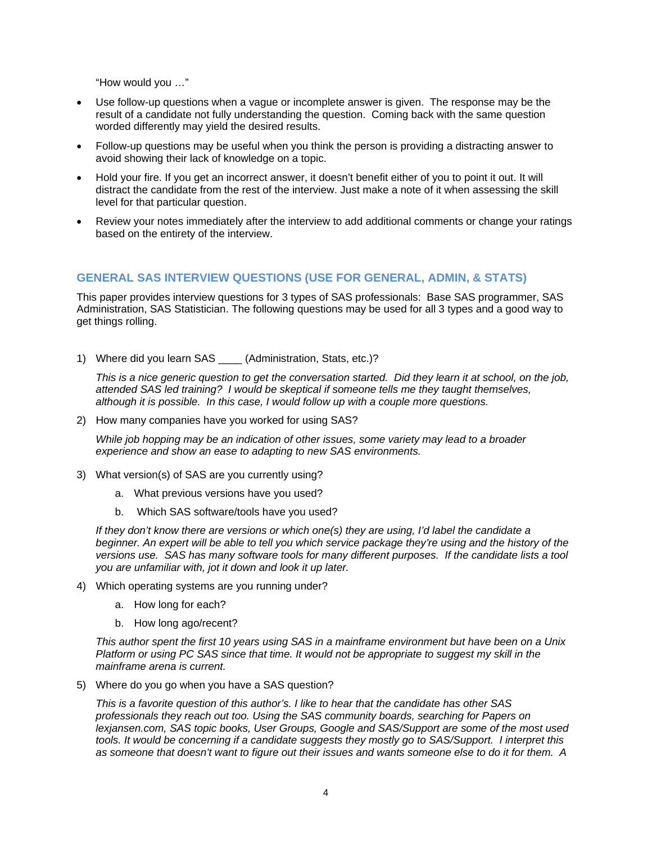"How would you …"

- Use follow-up questions when a vague or incomplete answer is given. The response may be the result of a candidate not fully understanding the question. Coming back with the same question worded differently may yield the desired results.
- Follow-up questions may be useful when you think the person is providing a distracting answer to avoid showing their lack of knowledge on a topic.
- Hold your fire. If you get an incorrect answer, it doesn't benefit either of you to point it out. It will distract the candidate from the rest of the interview. Just make a note of it when assessing the skill level for that particular question.
- Review your notes immediately after the interview to add additional comments or change your ratings based on the entirety of the interview.

#### **GENERAL SAS INTERVIEW QUESTIONS (USE FOR GENERAL, ADMIN, & STATS)**

This paper provides interview questions for 3 types of SAS professionals: Base SAS programmer, SAS Administration, SAS Statistician. The following questions may be used for all 3 types and a good way to get things rolling.

1) Where did you learn SAS (Administration, Stats, etc.)?

*This is a nice generic question to get the conversation started. Did they learn it at school, on the job, attended SAS led training? I would be skeptical if someone tells me they taught themselves, although it is possible. In this case, I would follow up with a couple more questions.*

2) How many companies have you worked for using SAS?

*While job hopping may be an indication of other issues, some variety may lead to a broader experience and show an ease to adapting to new SAS environments.* 

- 3) What version(s) of SAS are you currently using?
	- a. What previous versions have you used?
	- b. Which SAS software/tools have you used?

*If they don't know there are versions or which one(s) they are using, I'd label the candidate a beginner. An expert will be able to tell you which service package they're using and the history of the versions use. SAS has many software tools for many different purposes. If the candidate lists a tool you are unfamiliar with, jot it down and look it up later.* 

- 4) Which operating systems are you running under?
	- a. How long for each?
	- b. How long ago/recent?

*This author spent the first 10 years using SAS in a mainframe environment but have been on a Unix Platform or using PC SAS since that time. It would not be appropriate to suggest my skill in the mainframe arena is current.*

5) Where do you go when you have a SAS question?

*This is a favorite question of this author's. I like to hear that the candidate has other SAS professionals they reach out too. Using the SAS community boards, searching for Papers on lexjansen.com, SAS topic books, User Groups, Google and SAS/Support are some of the most used tools. It would be concerning if a candidate suggests they mostly go to SAS/Support. I interpret this as someone that doesn't want to figure out their issues and wants someone else to do it for them. A*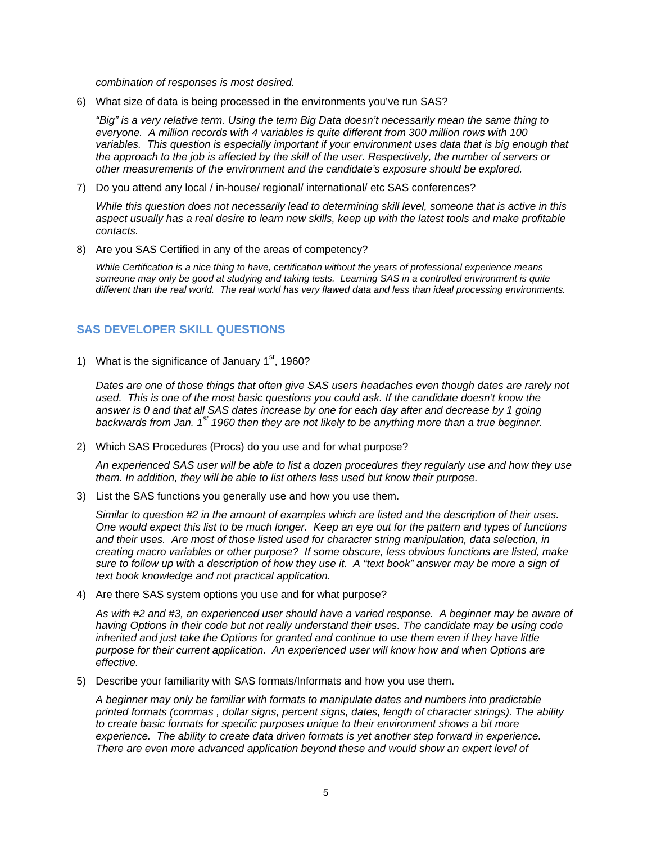*combination of responses is most desired.* 

6) What size of data is being processed in the environments you've run SAS?

*"Big" is a very relative term. Using the term Big Data doesn't necessarily mean the same thing to everyone. A million records with 4 variables is quite different from 300 million rows with 100 variables. This question is especially important if your environment uses data that is big enough that the approach to the job is affected by the skill of the user. Respectively, the number of servers or other measurements of the environment and the candidate's exposure should be explored.* 

7) Do you attend any local / in-house/ regional/ international/ etc SAS conferences?

*While this question does not necessarily lead to determining skill level, someone that is active in this aspect usually has a real desire to learn new skills, keep up with the latest tools and make profitable contacts.* 

8) Are you SAS Certified in any of the areas of competency?

*While Certification is a nice thing to have, certification without the years of professional experience means someone may only be good at studying and taking tests. Learning SAS in a controlled environment is quite different than the real world. The real world has very flawed data and less than ideal processing environments.*

#### **SAS DEVELOPER SKILL QUESTIONS**

1) What is the significance of January  $1<sup>st</sup>$ , 1960?

*Dates are one of those things that often give SAS users headaches even though dates are rarely not used. This is one of the most basic questions you could ask. If the candidate doesn't know the answer is 0 and that all SAS dates increase by one for each day after and decrease by 1 going backwards from Jan. 1st 1960 then they are not likely to be anything more than a true beginner.* 

2) Which SAS Procedures (Procs) do you use and for what purpose?

*An experienced SAS user will be able to list a dozen procedures they regularly use and how they use them. In addition, they will be able to list others less used but know their purpose.* 

3) List the SAS functions you generally use and how you use them.

*Similar to question #2 in the amount of examples which are listed and the description of their uses. One would expect this list to be much longer. Keep an eye out for the pattern and types of functions and their uses. Are most of those listed used for character string manipulation, data selection, in creating macro variables or other purpose? If some obscure, less obvious functions are listed, make sure to follow up with a description of how they use it. A "text book" answer may be more a sign of text book knowledge and not practical application.* 

4) Are there SAS system options you use and for what purpose?

*As with #2 and #3, an experienced user should have a varied response. A beginner may be aware of*  having Options in their code but not really understand their uses. The candidate may be using code *inherited and just take the Options for granted and continue to use them even if they have little purpose for their current application. An experienced user will know how and when Options are effective.* 

5) Describe your familiarity with SAS formats/Informats and how you use them.

*A beginner may only be familiar with formats to manipulate dates and numbers into predictable printed formats (commas , dollar signs, percent signs, dates, length of character strings). The ability to create basic formats for specific purposes unique to their environment shows a bit more experience. The ability to create data driven formats is yet another step forward in experience. There are even more advanced application beyond these and would show an expert level of*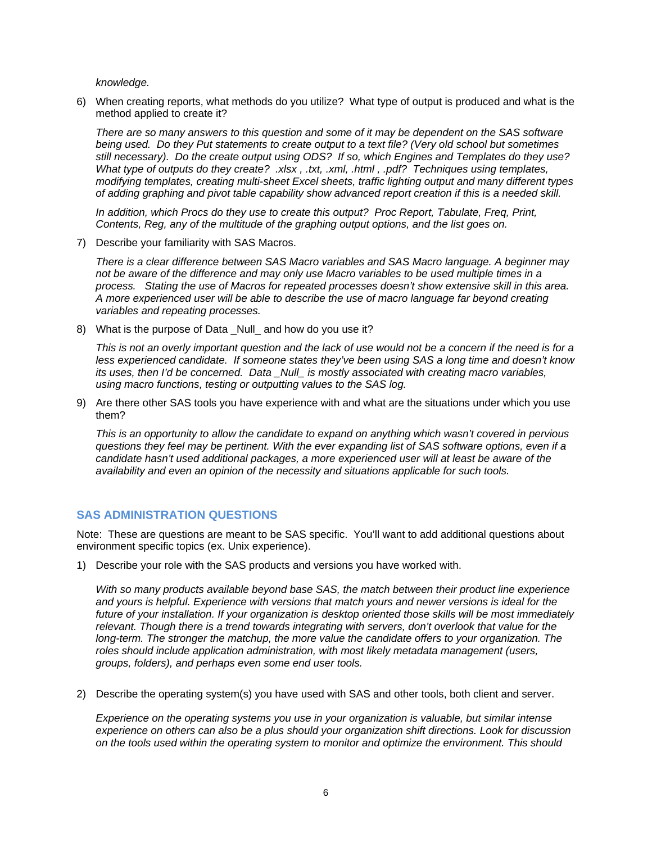*knowledge.* 

6) When creating reports, what methods do you utilize? What type of output is produced and what is the method applied to create it?

*There are so many answers to this question and some of it may be dependent on the SAS software being used. Do they Put statements to create output to a text file? (Very old school but sometimes still necessary). Do the create output using ODS? If so, which Engines and Templates do they use? What type of outputs do they create? .xlsx , .txt, .xml, .html , .pdf? Techniques using templates, modifying templates, creating multi-sheet Excel sheets, traffic lighting output and many different types of adding graphing and pivot table capability show advanced report creation if this is a needed skill.* 

*In addition, which Procs do they use to create this output? Proc Report, Tabulate, Freq, Print, Contents, Reg, any of the multitude of the graphing output options, and the list goes on.* 

7) Describe your familiarity with SAS Macros.

*There is a clear difference between SAS Macro variables and SAS Macro language. A beginner may not be aware of the difference and may only use Macro variables to be used multiple times in a process. Stating the use of Macros for repeated processes doesn't show extensive skill in this area. A more experienced user will be able to describe the use of macro language far beyond creating variables and repeating processes.* 

8) What is the purpose of Data Null and how do you use it?

*This is not an overly important question and the lack of use would not be a concern if the need is for a less experienced candidate. If someone states they've been using SAS a long time and doesn't know its uses, then I'd be concerned. Data \_Null\_ is mostly associated with creating macro variables, using macro functions, testing or outputting values to the SAS log.* 

9) Are there other SAS tools you have experience with and what are the situations under which you use them?

*This is an opportunity to allow the candidate to expand on anything which wasn't covered in pervious questions they feel may be pertinent. With the ever expanding list of SAS software options, even if a candidate hasn't used additional packages, a more experienced user will at least be aware of the availability and even an opinion of the necessity and situations applicable for such tools.* 

#### **SAS ADMINISTRATION QUESTIONS**

Note: These are questions are meant to be SAS specific. You'll want to add additional questions about environment specific topics (ex. Unix experience).

1) Describe your role with the SAS products and versions you have worked with.

*With so many products available beyond base SAS, the match between their product line experience and yours is helpful. Experience with versions that match yours and newer versions is ideal for the future of your installation. If your organization is desktop oriented those skills will be most immediately relevant. Though there is a trend towards integrating with servers, don't overlook that value for the long-term. The stronger the matchup, the more value the candidate offers to your organization. The roles should include application administration, with most likely metadata management (users, groups, folders), and perhaps even some end user tools.* 

2) Describe the operating system(s) you have used with SAS and other tools, both client and server.

*Experience on the operating systems you use in your organization is valuable, but similar intense experience on others can also be a plus should your organization shift directions. Look for discussion on the tools used within the operating system to monitor and optimize the environment. This should*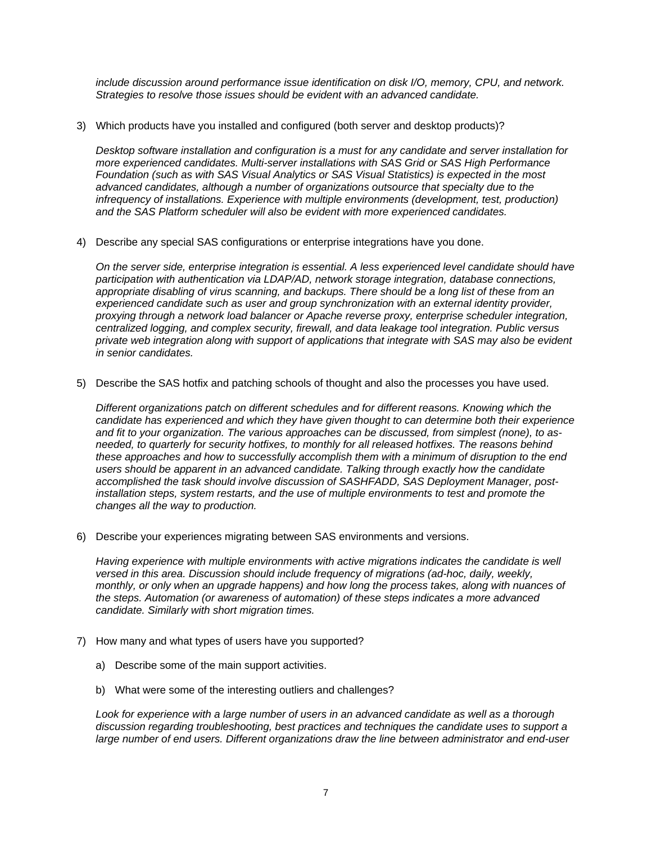*include discussion around performance issue identification on disk I/O, memory, CPU, and network. Strategies to resolve those issues should be evident with an advanced candidate.* 

3) Which products have you installed and configured (both server and desktop products)?

*Desktop software installation and configuration is a must for any candidate and server installation for more experienced candidates. Multi-server installations with SAS Grid or SAS High Performance Foundation (such as with SAS Visual Analytics or SAS Visual Statistics) is expected in the most advanced candidates, although a number of organizations outsource that specialty due to the infrequency of installations. Experience with multiple environments (development, test, production) and the SAS Platform scheduler will also be evident with more experienced candidates.* 

4) Describe any special SAS configurations or enterprise integrations have you done.

*On the server side, enterprise integration is essential. A less experienced level candidate should have participation with authentication via LDAP/AD, network storage integration, database connections, appropriate disabling of virus scanning, and backups. There should be a long list of these from an experienced candidate such as user and group synchronization with an external identity provider, proxying through a network load balancer or Apache reverse proxy, enterprise scheduler integration, centralized logging, and complex security, firewall, and data leakage tool integration. Public versus private web integration along with support of applications that integrate with SAS may also be evident in senior candidates.* 

5) Describe the SAS hotfix and patching schools of thought and also the processes you have used.

*Different organizations patch on different schedules and for different reasons. Knowing which the candidate has experienced and which they have given thought to can determine both their experience and fit to your organization. The various approaches can be discussed, from simplest (none), to asneeded, to quarterly for security hotfixes, to monthly for all released hotfixes. The reasons behind these approaches and how to successfully accomplish them with a minimum of disruption to the end users should be apparent in an advanced candidate. Talking through exactly how the candidate accomplished the task should involve discussion of SASHFADD, SAS Deployment Manager, postinstallation steps, system restarts, and the use of multiple environments to test and promote the changes all the way to production.* 

6) Describe your experiences migrating between SAS environments and versions.

Having experience with multiple environments with active migrations indicates the candidate is well *versed in this area. Discussion should include frequency of migrations (ad-hoc, daily, weekly, monthly, or only when an upgrade happens) and how long the process takes, along with nuances of the steps. Automation (or awareness of automation) of these steps indicates a more advanced candidate. Similarly with short migration times.* 

- 7) How many and what types of users have you supported?
	- a) Describe some of the main support activities.
	- b) What were some of the interesting outliers and challenges?

*Look for experience with a large number of users in an advanced candidate as well as a thorough discussion regarding troubleshooting, best practices and techniques the candidate uses to support a large number of end users. Different organizations draw the line between administrator and end-user*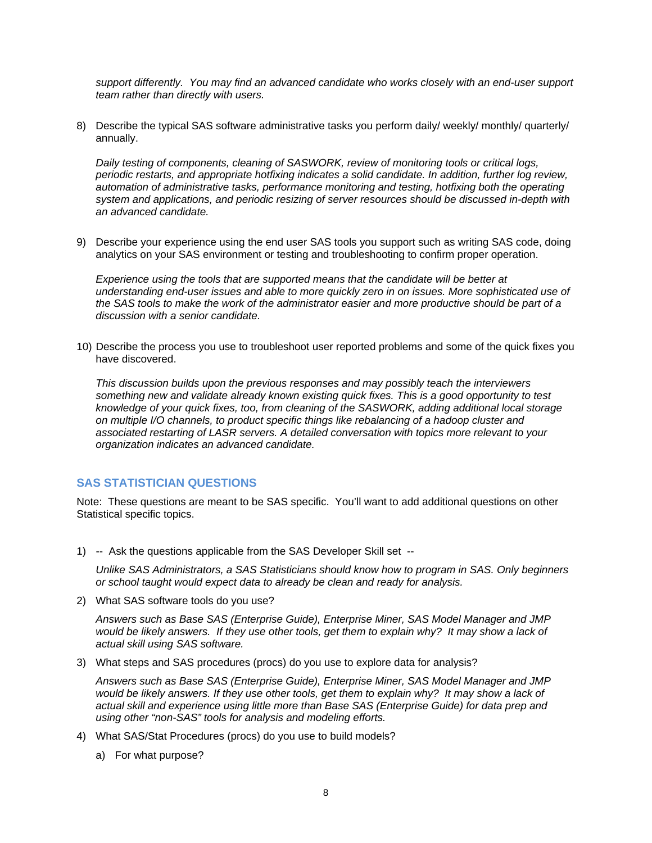*support differently. You may find an advanced candidate who works closely with an end-user support team rather than directly with users.* 

8) Describe the typical SAS software administrative tasks you perform daily/ weekly/ monthly/ quarterly/ annually.

*Daily testing of components, cleaning of SASWORK, review of monitoring tools or critical logs, periodic restarts, and appropriate hotfixing indicates a solid candidate. In addition, further log review, automation of administrative tasks, performance monitoring and testing, hotfixing both the operating system and applications, and periodic resizing of server resources should be discussed in-depth with an advanced candidate.* 

9) Describe your experience using the end user SAS tools you support such as writing SAS code, doing analytics on your SAS environment or testing and troubleshooting to confirm proper operation.

*Experience using the tools that are supported means that the candidate will be better at understanding end-user issues and able to more quickly zero in on issues. More sophisticated use of the SAS tools to make the work of the administrator easier and more productive should be part of a discussion with a senior candidate.* 

10) Describe the process you use to troubleshoot user reported problems and some of the quick fixes you have discovered.

*This discussion builds upon the previous responses and may possibly teach the interviewers something new and validate already known existing quick fixes. This is a good opportunity to test knowledge of your quick fixes, too, from cleaning of the SASWORK, adding additional local storage on multiple I/O channels, to product specific things like rebalancing of a hadoop cluster and associated restarting of LASR servers. A detailed conversation with topics more relevant to your organization indicates an advanced candidate.* 

#### **SAS STATISTICIAN QUESTIONS**

Note: These questions are meant to be SAS specific. You'll want to add additional questions on other Statistical specific topics.

1) -- Ask the questions applicable from the SAS Developer Skill set --

*Unlike SAS Administrators, a SAS Statisticians should know how to program in SAS. Only beginners or school taught would expect data to already be clean and ready for analysis.* 

2) What SAS software tools do you use?

*Answers such as Base SAS (Enterprise Guide), Enterprise Miner, SAS Model Manager and JMP would be likely answers. If they use other tools, get them to explain why? It may show a lack of actual skill using SAS software.* 

3) What steps and SAS procedures (procs) do you use to explore data for analysis?

*Answers such as Base SAS (Enterprise Guide), Enterprise Miner, SAS Model Manager and JMP would be likely answers. If they use other tools, get them to explain why? It may show a lack of actual skill and experience using little more than Base SAS (Enterprise Guide) for data prep and using other "non-SAS" tools for analysis and modeling efforts.* 

- 4) What SAS/Stat Procedures (procs) do you use to build models?
	- a) For what purpose?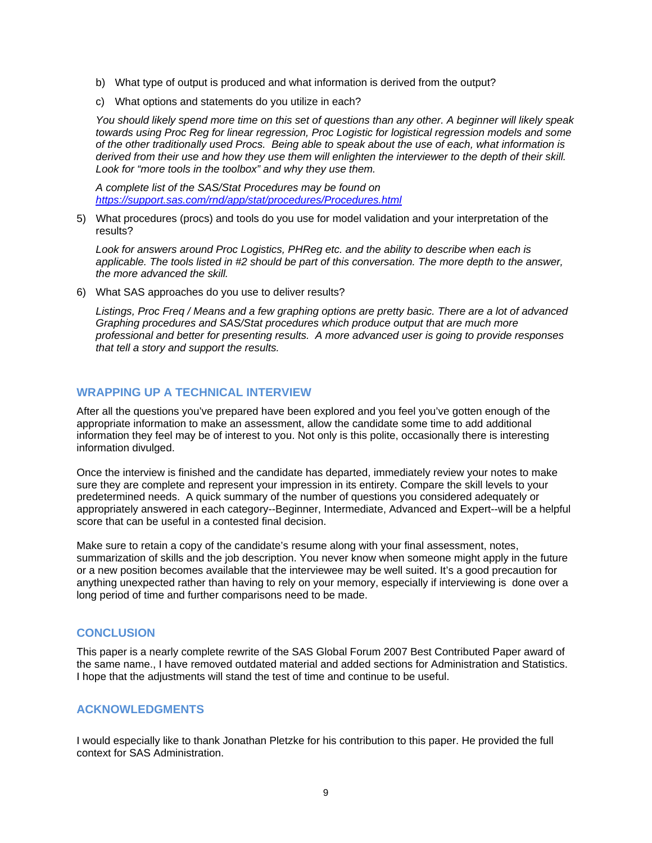- b) What type of output is produced and what information is derived from the output?
- c) What options and statements do you utilize in each?

*You should likely spend more time on this set of questions than any other. A beginner will likely speak towards using Proc Reg for linear regression, Proc Logistic for logistical regression models and some of the other traditionally used Procs. Being able to speak about the use of each, what information is derived from their use and how they use them will enlighten the interviewer to the depth of their skill. Look for "more tools in the toolbox" and why they use them.* 

*A complete list of the SAS/Stat Procedures may be found on https://support.sas.com/rnd/app/stat/procedures/Procedures.html*

5) What procedures (procs) and tools do you use for model validation and your interpretation of the results?

*Look for answers around Proc Logistics, PHReg etc. and the ability to describe when each is applicable. The tools listed in #2 should be part of this conversation. The more depth to the answer, the more advanced the skill.* 

6) What SAS approaches do you use to deliver results?

*Listings, Proc Freq / Means and a few graphing options are pretty basic. There are a lot of advanced Graphing procedures and SAS/Stat procedures which produce output that are much more professional and better for presenting results. A more advanced user is going to provide responses that tell a story and support the results.* 

#### **WRAPPING UP A TECHNICAL INTERVIEW**

After all the questions you've prepared have been explored and you feel you've gotten enough of the appropriate information to make an assessment, allow the candidate some time to add additional information they feel may be of interest to you. Not only is this polite, occasionally there is interesting information divulged.

Once the interview is finished and the candidate has departed, immediately review your notes to make sure they are complete and represent your impression in its entirety. Compare the skill levels to your predetermined needs. A quick summary of the number of questions you considered adequately or appropriately answered in each category--Beginner, Intermediate, Advanced and Expert--will be a helpful score that can be useful in a contested final decision.

Make sure to retain a copy of the candidate's resume along with your final assessment, notes, summarization of skills and the job description. You never know when someone might apply in the future or a new position becomes available that the interviewee may be well suited. It's a good precaution for anything unexpected rather than having to rely on your memory, especially if interviewing is done over a long period of time and further comparisons need to be made.

#### **CONCLUSION**

This paper is a nearly complete rewrite of the SAS Global Forum 2007 Best Contributed Paper award of the same name., I have removed outdated material and added sections for Administration and Statistics. I hope that the adjustments will stand the test of time and continue to be useful.

# **ACKNOWLEDGMENTS**

I would especially like to thank Jonathan Pletzke for his contribution to this paper. He provided the full context for SAS Administration.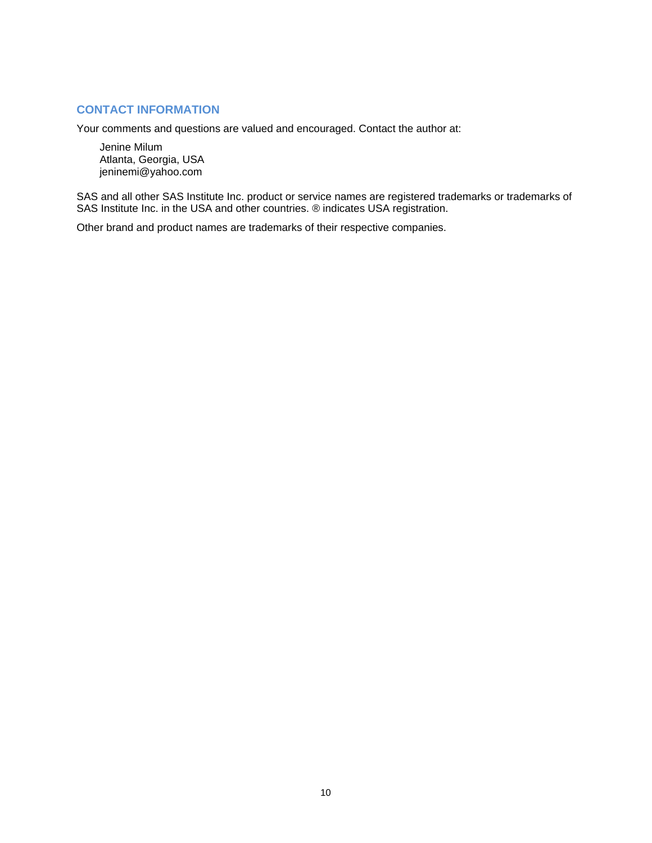## **CONTACT INFORMATION**

Your comments and questions are valued and encouraged. Contact the author at:

Jenine Milum Atlanta, Georgia, USA jeninemi@yahoo.com

SAS and all other SAS Institute Inc. product or service names are registered trademarks or trademarks of SAS Institute Inc. in the USA and other countries. ® indicates USA registration.

Other brand and product names are trademarks of their respective companies.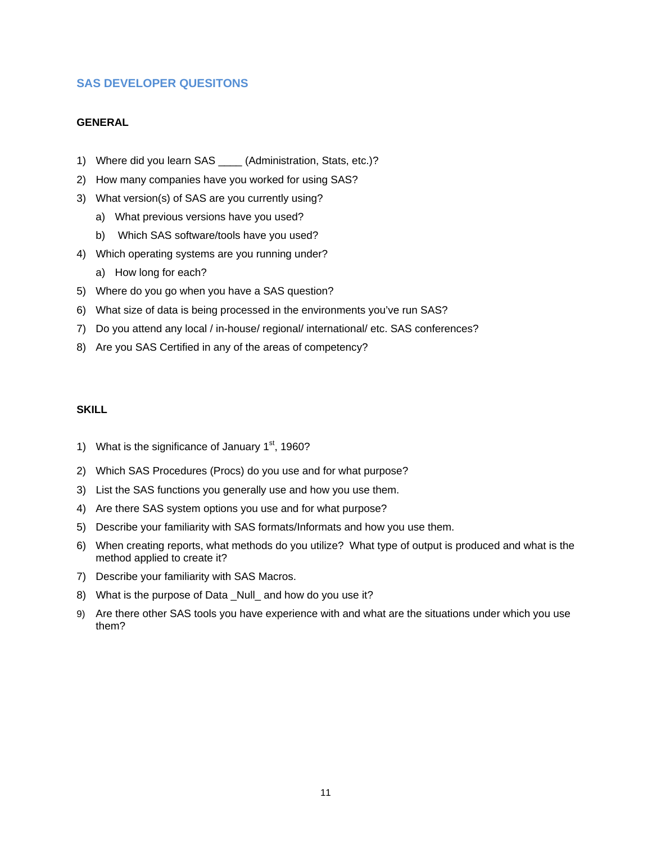## **SAS DEVELOPER QUESITONS**

### **GENERAL**

- 1) Where did you learn SAS \_\_\_\_ (Administration, Stats, etc.)?
- 2) How many companies have you worked for using SAS?
- 3) What version(s) of SAS are you currently using?
	- a) What previous versions have you used?
	- b) Which SAS software/tools have you used?
- 4) Which operating systems are you running under?
	- a) How long for each?
- 5) Where do you go when you have a SAS question?
- 6) What size of data is being processed in the environments you've run SAS?
- 7) Do you attend any local / in-house/ regional/ international/ etc. SAS conferences?
- 8) Are you SAS Certified in any of the areas of competency?

#### **SKILL**

- 1) What is the significance of January  $1<sup>st</sup>$ , 1960?
- 2) Which SAS Procedures (Procs) do you use and for what purpose?
- 3) List the SAS functions you generally use and how you use them.
- 4) Are there SAS system options you use and for what purpose?
- 5) Describe your familiarity with SAS formats/Informats and how you use them.
- 6) When creating reports, what methods do you utilize? What type of output is produced and what is the method applied to create it?
- 7) Describe your familiarity with SAS Macros.
- 8) What is the purpose of Data \_Null\_ and how do you use it?
- 9) Are there other SAS tools you have experience with and what are the situations under which you use them?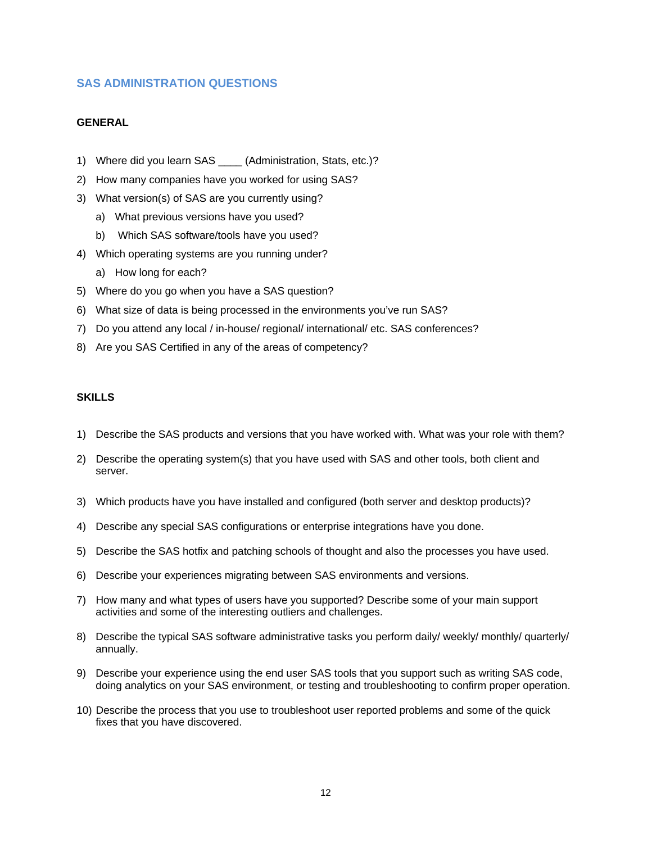## **SAS ADMINISTRATION QUESTIONS**

#### **GENERAL**

- 1) Where did you learn SAS \_\_\_\_ (Administration, Stats, etc.)?
- 2) How many companies have you worked for using SAS?
- 3) What version(s) of SAS are you currently using?
	- a) What previous versions have you used?
	- b) Which SAS software/tools have you used?
- 4) Which operating systems are you running under?
	- a) How long for each?
- 5) Where do you go when you have a SAS question?
- 6) What size of data is being processed in the environments you've run SAS?
- 7) Do you attend any local / in-house/ regional/ international/ etc. SAS conferences?
- 8) Are you SAS Certified in any of the areas of competency?

#### **SKILLS**

- 1) Describe the SAS products and versions that you have worked with. What was your role with them?
- 2) Describe the operating system(s) that you have used with SAS and other tools, both client and server.
- 3) Which products have you have installed and configured (both server and desktop products)?
- 4) Describe any special SAS configurations or enterprise integrations have you done.
- 5) Describe the SAS hotfix and patching schools of thought and also the processes you have used.
- 6) Describe your experiences migrating between SAS environments and versions.
- 7) How many and what types of users have you supported? Describe some of your main support activities and some of the interesting outliers and challenges.
- 8) Describe the typical SAS software administrative tasks you perform daily/ weekly/ monthly/ quarterly/ annually.
- 9) Describe your experience using the end user SAS tools that you support such as writing SAS code, doing analytics on your SAS environment, or testing and troubleshooting to confirm proper operation.
- 10) Describe the process that you use to troubleshoot user reported problems and some of the quick fixes that you have discovered.